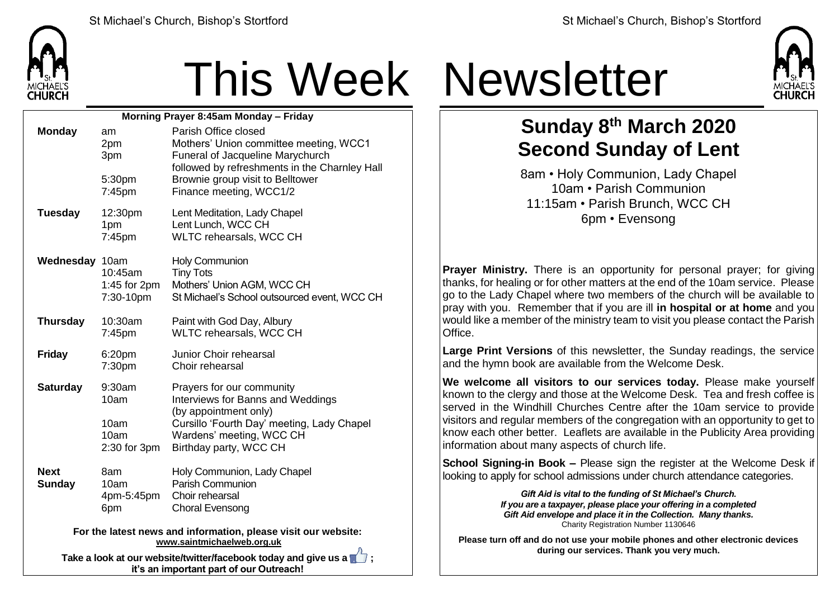

## This Week Newsletter

| Morning Prayer 8:45am Monday - Friday                          |                                                    |                                                                                                                                                                                             |  |  |
|----------------------------------------------------------------|----------------------------------------------------|---------------------------------------------------------------------------------------------------------------------------------------------------------------------------------------------|--|--|
| <b>Monday</b>                                                  | am<br>2pm<br>3pm                                   | Parish Office closed<br>Mothers' Union committee meeting, WCC1<br>Funeral of Jacqueline Marychurch<br>followed by refreshments in the Charnley Hall                                         |  |  |
|                                                                | 5:30pm<br>7:45pm                                   | Brownie group visit to Belltower<br>Finance meeting, WCC1/2                                                                                                                                 |  |  |
| <b>Tuesday</b>                                                 | 12:30pm<br>1pm<br>7:45pm                           | Lent Meditation, Lady Chapel<br>Lent Lunch, WCC CH<br><b>WLTC rehearsals, WCC CH</b>                                                                                                        |  |  |
| Wednesday 10am                                                 | 10:45am<br>1:45 for 2pm<br>7:30-10pm               | <b>Holy Communion</b><br><b>Tiny Tots</b><br>Mothers' Union AGM, WCC CH<br>St Michael's School outsourced event, WCC CH                                                                     |  |  |
| <b>Thursday</b>                                                | 10:30am<br>$7:45$ pm                               | Paint with God Day, Albury<br>WLTC rehearsals, WCC CH                                                                                                                                       |  |  |
| <b>Friday</b>                                                  | 6:20pm<br>7:30pm                                   | Junior Choir rehearsal<br>Choir rehearsal                                                                                                                                                   |  |  |
| <b>Saturday</b>                                                | 9:30am<br>10am<br>10am<br>10am<br>$2:30$ for $3pm$ | Prayers for our community<br>Interviews for Banns and Weddings<br>(by appointment only)<br>Cursillo 'Fourth Day' meeting, Lady Chapel<br>Wardens' meeting, WCC CH<br>Birthday party, WCC CH |  |  |
| <b>Next</b><br><b>Sunday</b>                                   | 8am<br>10am<br>4pm-5:45pm<br>6pm                   | Holy Communion, Lady Chapel<br><b>Parish Communion</b><br>Choir rehearsal<br><b>Choral Evensong</b>                                                                                         |  |  |
| For the latest news and information, please visit our website: |                                                    |                                                                                                                                                                                             |  |  |

**[www.saintmichaelweb.org.uk](http://www.saintmichaelweb.org.uk/)**

**Take a look at our website/twitter/facebook today and give us a**  $\mathbb{I}$ **. it's an important part of our Outreach!**



## **Sunday 8 th March 2020 Second Sunday of Lent**

8am • Holy Communion, Lady Chapel 10am • Parish Communion 11:15am • Parish Brunch, WCC CH 6pm • Evensong

**Prayer Ministry.** There is an opportunity for personal prayer; for giving thanks, for healing or for other matters at the end of the 10am service. Please go to the Lady Chapel where two members of the church will be available to pray with you. Remember that if you are ill **in hospital or at home** and you would like a member of the ministry team to visit you please contact the Parish Office.

**Large Print Versions** of this newsletter, the Sunday readings, the service and the hymn book are available from the Welcome Desk.

**We welcome all visitors to our services today.** Please make yourself known to the clergy and those at the Welcome Desk. Tea and fresh coffee is served in the Windhill Churches Centre after the 10am service to provide visitors and regular members of the congregation with an opportunity to get to know each other better. Leaflets are available in the Publicity Area providing information about many aspects of church life.

**School Signing-in Book –** Please sign the register at the Welcome Desk if looking to apply for school admissions under church attendance categories.

> *Gift Aid is vital to the funding of St Michael's Church. If you are a taxpayer, please place your offering in a completed Gift Aid envelope and place it in the Collection. Many thanks.* Charity Registration Number 1130646

**Please turn off and do not use your mobile phones and other electronic devices during our services. Thank you very much.**